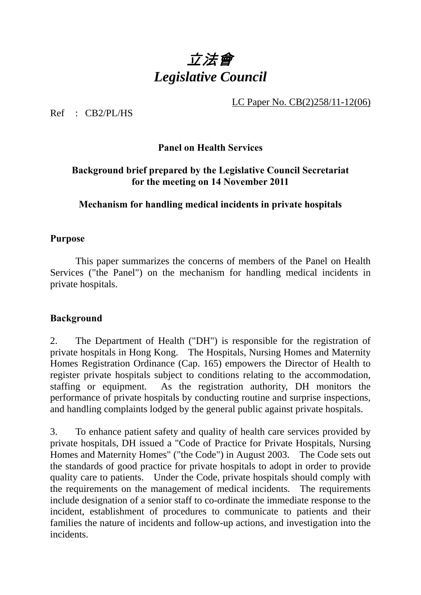# 立法會 *Legislative Council*

LC Paper No. CB(2)258/11-12(06)

 $Ref$   $CR2/PI/HS$ 

## **Panel on Health Services**

### **Background brief prepared by the Legislative Council Secretariat for the meeting on 14 November 2011**

## **Mechanism for handling medical incidents in private hospitals**

#### **Purpose**

 This paper summarizes the concerns of members of the Panel on Health Services ("the Panel") on the mechanism for handling medical incidents in private hospitals.

#### **Background**

2. The Department of Health ("DH") is responsible for the registration of private hospitals in Hong Kong. The Hospitals, Nursing Homes and Maternity Homes Registration Ordinance (Cap. 165) empowers the Director of Health to register private hospitals subject to conditions relating to the accommodation, staffing or equipment. As the registration authority, DH monitors the performance of private hospitals by conducting routine and surprise inspections, and handling complaints lodged by the general public against private hospitals.

3. To enhance patient safety and quality of health care services provided by private hospitals, DH issued a "Code of Practice for Private Hospitals, Nursing Homes and Maternity Homes" ("the Code") in August 2003. The Code sets out the standards of good practice for private hospitals to adopt in order to provide quality care to patients. Under the Code, private hospitals should comply with the requirements on the management of medical incidents. The requirements include designation of a senior staff to co-ordinate the immediate response to the incident, establishment of procedures to communicate to patients and their families the nature of incidents and follow-up actions, and investigation into the incidents.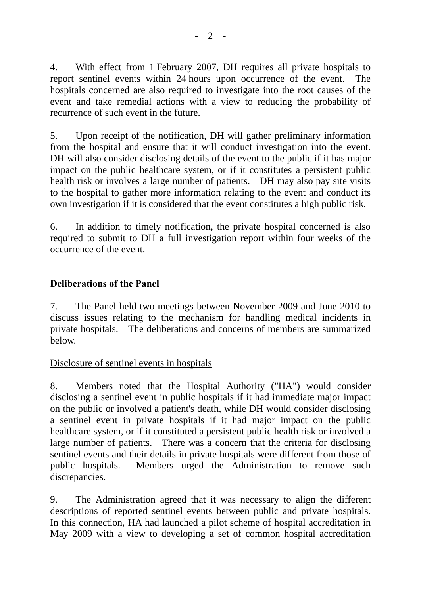4. With effect from 1 February 2007, DH requires all private hospitals to report sentinel events within 24 hours upon occurrence of the event. The hospitals concerned are also required to investigate into the root causes of the event and take remedial actions with a view to reducing the probability of recurrence of such event in the future.

5. Upon receipt of the notification, DH will gather preliminary information from the hospital and ensure that it will conduct investigation into the event. DH will also consider disclosing details of the event to the public if it has major impact on the public healthcare system, or if it constitutes a persistent public health risk or involves a large number of patients. DH may also pay site visits to the hospital to gather more information relating to the event and conduct its own investigation if it is considered that the event constitutes a high public risk.

6. In addition to timely notification, the private hospital concerned is also required to submit to DH a full investigation report within four weeks of the occurrence of the event.

# **Deliberations of the Panel**

7. The Panel held two meetings between November 2009 and June 2010 to discuss issues relating to the mechanism for handling medical incidents in private hospitals. The deliberations and concerns of members are summarized below.

#### Disclosure of sentinel events in hospitals

8. Members noted that the Hospital Authority ("HA") would consider disclosing a sentinel event in public hospitals if it had immediate major impact on the public or involved a patient's death, while DH would consider disclosing a sentinel event in private hospitals if it had major impact on the public healthcare system, or if it constituted a persistent public health risk or involved a large number of patients. There was a concern that the criteria for disclosing sentinel events and their details in private hospitals were different from those of public hospitals. Members urged the Administration to remove such discrepancies.

9. The Administration agreed that it was necessary to align the different descriptions of reported sentinel events between public and private hospitals. In this connection, HA had launched a pilot scheme of hospital accreditation in May 2009 with a view to developing a set of common hospital accreditation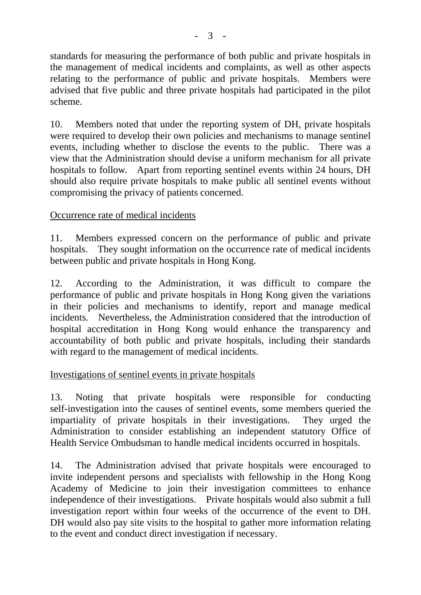standards for measuring the performance of both public and private hospitals in the management of medical incidents and complaints, as well as other aspects relating to the performance of public and private hospitals. Members were advised that five public and three private hospitals had participated in the pilot scheme.

10. Members noted that under the reporting system of DH, private hospitals were required to develop their own policies and mechanisms to manage sentinel events, including whether to disclose the events to the public. There was a view that the Administration should devise a uniform mechanism for all private hospitals to follow. Apart from reporting sentinel events within 24 hours, DH should also require private hospitals to make public all sentinel events without compromising the privacy of patients concerned.

# Occurrence rate of medical incidents

11. Members expressed concern on the performance of public and private hospitals. They sought information on the occurrence rate of medical incidents between public and private hospitals in Hong Kong.

12. According to the Administration, it was difficult to compare the performance of public and private hospitals in Hong Kong given the variations in their policies and mechanisms to identify, report and manage medical incidents. Nevertheless, the Administration considered that the introduction of hospital accreditation in Hong Kong would enhance the transparency and accountability of both public and private hospitals, including their standards with regard to the management of medical incidents.

#### Investigations of sentinel events in private hospitals

13. Noting that private hospitals were responsible for conducting self-investigation into the causes of sentinel events, some members queried the impartiality of private hospitals in their investigations. They urged the Administration to consider establishing an independent statutory Office of Health Service Ombudsman to handle medical incidents occurred in hospitals.

14. The Administration advised that private hospitals were encouraged to invite independent persons and specialists with fellowship in the Hong Kong Academy of Medicine to join their investigation committees to enhance independence of their investigations. Private hospitals would also submit a full investigation report within four weeks of the occurrence of the event to DH. DH would also pay site visits to the hospital to gather more information relating to the event and conduct direct investigation if necessary.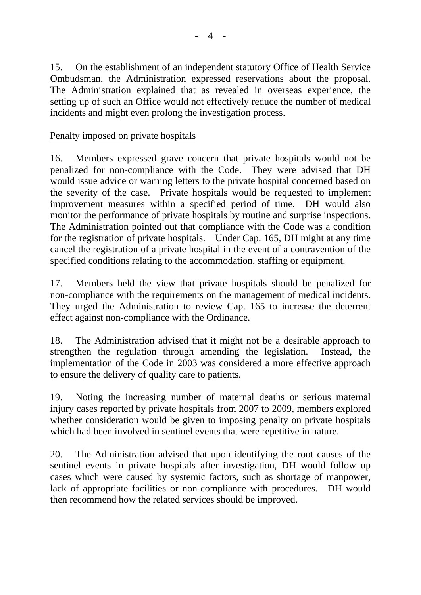15. On the establishment of an independent statutory Office of Health Service Ombudsman, the Administration expressed reservations about the proposal. The Administration explained that as revealed in overseas experience, the setting up of such an Office would not effectively reduce the number of medical incidents and might even prolong the investigation process.

# Penalty imposed on private hospitals

16. Members expressed grave concern that private hospitals would not be penalized for non-compliance with the Code. They were advised that DH would issue advice or warning letters to the private hospital concerned based on the severity of the case. Private hospitals would be requested to implement improvement measures within a specified period of time. DH would also monitor the performance of private hospitals by routine and surprise inspections. The Administration pointed out that compliance with the Code was a condition for the registration of private hospitals. Under Cap. 165, DH might at any time cancel the registration of a private hospital in the event of a contravention of the specified conditions relating to the accommodation, staffing or equipment.

17. Members held the view that private hospitals should be penalized for non-compliance with the requirements on the management of medical incidents. They urged the Administration to review Cap. 165 to increase the deterrent effect against non-compliance with the Ordinance.

18. The Administration advised that it might not be a desirable approach to strengthen the regulation through amending the legislation. Instead, the implementation of the Code in 2003 was considered a more effective approach to ensure the delivery of quality care to patients.

19. Noting the increasing number of maternal deaths or serious maternal injury cases reported by private hospitals from 2007 to 2009, members explored whether consideration would be given to imposing penalty on private hospitals which had been involved in sentinel events that were repetitive in nature.

20. The Administration advised that upon identifying the root causes of the sentinel events in private hospitals after investigation, DH would follow up cases which were caused by systemic factors, such as shortage of manpower, lack of appropriate facilities or non-compliance with procedures. DH would then recommend how the related services should be improved.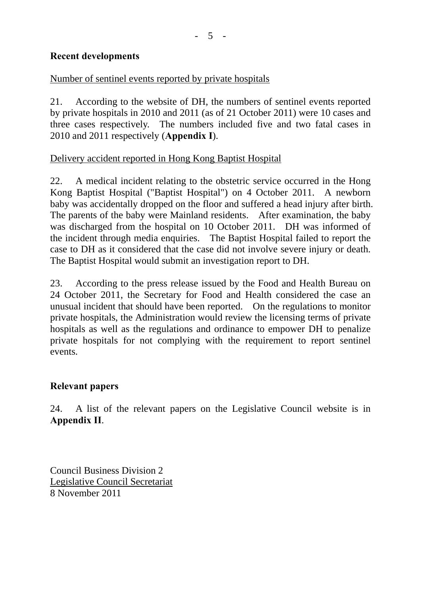### **Recent developments**

# Number of sentinel events reported by private hospitals

21. According to the website of DH, the numbers of sentinel events reported by private hospitals in 2010 and 2011 (as of 21 October 2011) were 10 cases and three cases respectively. The numbers included five and two fatal cases in 2010 and 2011 respectively (**Appendix I**).

## Delivery accident reported in Hong Kong Baptist Hospital

22. A medical incident relating to the obstetric service occurred in the Hong Kong Baptist Hospital ("Baptist Hospital") on 4 October 2011. A newborn baby was accidentally dropped on the floor and suffered a head injury after birth. The parents of the baby were Mainland residents. After examination, the baby was discharged from the hospital on 10 October 2011. DH was informed of the incident through media enquiries. The Baptist Hospital failed to report the case to DH as it considered that the case did not involve severe injury or death. The Baptist Hospital would submit an investigation report to DH.

23. According to the press release issued by the Food and Health Bureau on 24 October 2011, the Secretary for Food and Health considered the case an unusual incident that should have been reported. On the regulations to monitor private hospitals, the Administration would review the licensing terms of private hospitals as well as the regulations and ordinance to empower DH to penalize private hospitals for not complying with the requirement to report sentinel events.

#### **Relevant papers**

24. A list of the relevant papers on the Legislative Council website is in **Appendix II**.

Council Business Division 2 Legislative Council Secretariat 8 November 2011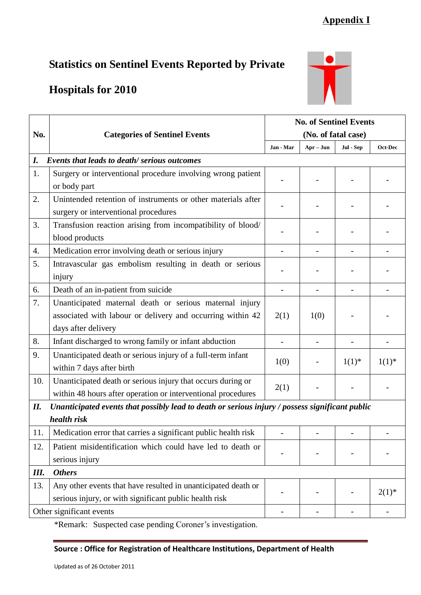# **Appendix I**

# **Statistics on Sentinel Events Reported by Private**

# **Hospitals for 2010**



|                          | <b>Categories of Sentinel Events</b>                                                            | <b>No. of Sentinel Events</b> |                |            |            |  |  |  |  |
|--------------------------|-------------------------------------------------------------------------------------------------|-------------------------------|----------------|------------|------------|--|--|--|--|
| No.                      |                                                                                                 | (No. of fatal case)           |                |            |            |  |  |  |  |
|                          |                                                                                                 | Jan - Mar                     | $Apr - Jun$    | Jul - Sep  | Oct-Dec    |  |  |  |  |
| I.                       | <b>Events that leads to death/ serious outcomes</b>                                             |                               |                |            |            |  |  |  |  |
| 1.                       | Surgery or interventional procedure involving wrong patient                                     |                               |                |            |            |  |  |  |  |
|                          | or body part                                                                                    |                               |                |            |            |  |  |  |  |
| 2.                       | Unintended retention of instruments or other materials after                                    |                               |                |            |            |  |  |  |  |
|                          | surgery or interventional procedures                                                            |                               |                |            |            |  |  |  |  |
| 3.                       | Transfusion reaction arising from incompatibility of blood/                                     |                               |                |            |            |  |  |  |  |
|                          | blood products                                                                                  |                               |                |            |            |  |  |  |  |
| 4.                       | Medication error involving death or serious injury                                              | $\overline{\phantom{a}}$      |                |            |            |  |  |  |  |
| 5.                       | Intravascular gas embolism resulting in death or serious                                        |                               |                |            |            |  |  |  |  |
|                          | injury                                                                                          |                               |                |            |            |  |  |  |  |
| 6.                       | Death of an in-patient from suicide                                                             | $\overline{\phantom{0}}$      |                |            |            |  |  |  |  |
| 7.                       | Unanticipated maternal death or serious maternal injury                                         |                               |                |            |            |  |  |  |  |
|                          | associated with labour or delivery and occurring within 42                                      | 2(1)                          | 1(0)           |            |            |  |  |  |  |
|                          | days after delivery                                                                             |                               |                |            |            |  |  |  |  |
| 8.                       | Infant discharged to wrong family or infant abduction                                           |                               |                |            |            |  |  |  |  |
| 9.                       | Unanticipated death or serious injury of a full-term infant                                     |                               |                | $1(1)^{*}$ |            |  |  |  |  |
|                          | within 7 days after birth                                                                       | 1(0)                          |                | $1(1)^{*}$ |            |  |  |  |  |
| 10.                      | Unanticipated death or serious injury that occurs during or                                     | 2(1)                          |                |            |            |  |  |  |  |
|                          | within 48 hours after operation or interventional procedures                                    |                               |                |            |            |  |  |  |  |
| II.                      | Unanticipated events that possibly lead to death or serious injury / possess significant public |                               |                |            |            |  |  |  |  |
|                          | health risk                                                                                     |                               |                |            |            |  |  |  |  |
| 11.                      | Medication error that carries a significant public health risk                                  |                               |                |            |            |  |  |  |  |
| 12.                      | Patient misidentification which could have led to death or                                      |                               |                |            |            |  |  |  |  |
|                          | serious injury                                                                                  |                               |                |            |            |  |  |  |  |
| Ш.                       | <b>Others</b>                                                                                   |                               |                |            |            |  |  |  |  |
| 13.                      | Any other events that have resulted in unanticipated death or                                   |                               |                |            | $2(1)^{*}$ |  |  |  |  |
|                          | serious injury, or with significant public health risk                                          |                               |                |            |            |  |  |  |  |
| Other significant events |                                                                                                 |                               | $\overline{a}$ |            |            |  |  |  |  |

\*Remark: Suspected case pending Coroner's investigation.

#### **Source : Office for Registration of Healthcare Institutions, Department of Health**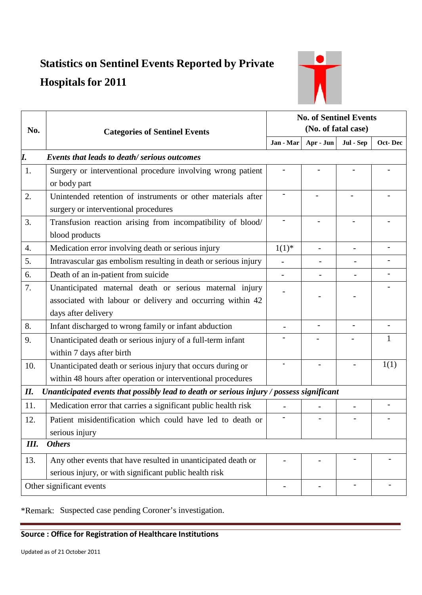# **Statistics on Sentinel Events Reported by Private Hospitals for 2011**



| No.                                                                                             | <b>Categories of Sentinel Events</b>                            | <b>No. of Sentinel Events</b> |                          |                          |              |  |  |
|-------------------------------------------------------------------------------------------------|-----------------------------------------------------------------|-------------------------------|--------------------------|--------------------------|--------------|--|--|
|                                                                                                 |                                                                 | (No. of fatal case)           |                          |                          |              |  |  |
|                                                                                                 |                                                                 | Jan - Mar                     | Apr - Jun                | Jul - Sep                | Oct-Dec      |  |  |
| I.                                                                                              | Events that leads to death/serious outcomes                     |                               |                          |                          |              |  |  |
| 1.                                                                                              | Surgery or interventional procedure involving wrong patient     |                               |                          |                          |              |  |  |
|                                                                                                 | or body part                                                    |                               |                          |                          |              |  |  |
| 2.                                                                                              | Unintended retention of instruments or other materials after    |                               |                          |                          |              |  |  |
|                                                                                                 | surgery or interventional procedures                            |                               |                          |                          |              |  |  |
| 3.                                                                                              | Transfusion reaction arising from incompatibility of blood/     |                               |                          |                          |              |  |  |
|                                                                                                 | blood products                                                  |                               |                          |                          |              |  |  |
| 4.                                                                                              | Medication error involving death or serious injury              | $1(1)^{*}$                    |                          | $\overline{\phantom{a}}$ |              |  |  |
| 5.                                                                                              | Intravascular gas embolism resulting in death or serious injury |                               |                          |                          |              |  |  |
| 6.                                                                                              | Death of an in-patient from suicide                             | $\overline{\phantom{a}}$      |                          |                          |              |  |  |
| 7.                                                                                              | Unanticipated maternal death or serious maternal injury         |                               |                          |                          |              |  |  |
|                                                                                                 | associated with labour or delivery and occurring within 42      |                               |                          |                          |              |  |  |
|                                                                                                 | days after delivery                                             |                               |                          |                          |              |  |  |
| 8.                                                                                              | Infant discharged to wrong family or infant abduction           |                               | $\overline{\phantom{a}}$ | $\overline{a}$           |              |  |  |
| 9.                                                                                              | Unanticipated death or serious injury of a full-term infant     |                               |                          |                          | $\mathbf{1}$ |  |  |
|                                                                                                 | within 7 days after birth                                       |                               |                          |                          |              |  |  |
| 10.                                                                                             | Unanticipated death or serious injury that occurs during or     |                               |                          |                          | 1(1)         |  |  |
|                                                                                                 | within 48 hours after operation or interventional procedures    |                               |                          |                          |              |  |  |
| Unanticipated events that possibly lead to death or serious injury / possess significant<br>II. |                                                                 |                               |                          |                          |              |  |  |
| 11.                                                                                             | Medication error that carries a significant public health risk  |                               |                          |                          |              |  |  |
| 12.                                                                                             | Patient misidentification which could have led to death or      |                               |                          |                          |              |  |  |
|                                                                                                 | serious injury                                                  |                               |                          |                          |              |  |  |
| Ш.<br><b>Others</b>                                                                             |                                                                 |                               |                          |                          |              |  |  |
| 13.                                                                                             | Any other events that have resulted in unanticipated death or   |                               |                          |                          |              |  |  |
|                                                                                                 | serious injury, or with significant public health risk          |                               |                          |                          |              |  |  |
| Other significant events                                                                        |                                                                 |                               |                          |                          |              |  |  |

\*Remark: Suspected case pending Coroner's investigation.

#### **Source : Office for Registration of Healthcare Institutions**